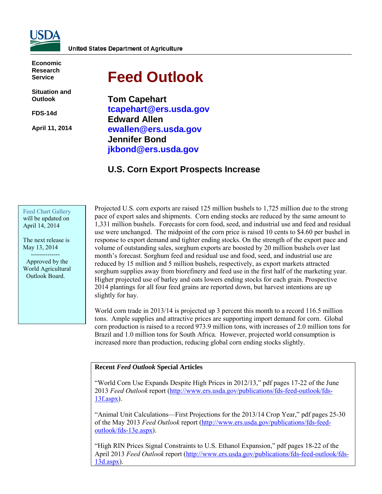

**Economic Research Service**

**Situation and Outlook**

**FDS-14d** 

**April 11, 2014** 

# **Feed Outlook**

**Tom Capehart tcapehart@ers.usda.gov Edward Allen ewallen@ers.usda.gov Jennifer Bond jkbond@ers.usda.gov** 

# **U.S. Corn Export Prospects Increase**

#### [Feed Chart Gallery](http://www.ers.usda.gov/data-products/feed-grain-chart-gallery.aspx) will be updated on April 14, 2014

The next release is May 13, 2014 --------------

 Approved by the World Agricultural Outlook Board.

Projected U.S. corn exports are raised 125 million bushels to 1,725 million due to the strong pace of export sales and shipments. Corn ending stocks are reduced by the same amount to 1,331 million bushels. Forecasts for corn food, seed, and industrial use and feed and residual use were unchanged. The midpoint of the corn price is raised 10 cents to \$4.60 per bushel in response to export demand and tighter ending stocks. On the strength of the export pace and volume of outstanding sales, sorghum exports are boosted by 20 million bushels over last month's forecast. Sorghum feed and residual use and food, seed, and industrial use are reduced by 15 million and 5 million bushels, respectively, as export markets attracted sorghum supplies away from biorefinery and feed use in the first half of the marketing year. Higher projected use of barley and oats lowers ending stocks for each grain. Prospective 2014 plantings for all four feed grains are reported down, but harvest intentions are up slightly for hay.

World corn trade in 2013/14 is projected up 3 percent this month to a record 116.5 million tons. Ample supplies and attractive prices are supporting import demand for corn. Global corn production is raised to a record 973.9 million tons, with increases of 2.0 million tons for Brazil and 1.0 million tons for South Africa. However, projected world consumption is increased more than production, reducing global corn ending stocks slightly.

#### **Recent** *Feed Outlook* **Special Articles**

"World Corn Use Expands Despite High Prices in 2012/13," pdf pages 17-22 of the June 2013 *Feed Outlook* report [\(http://www.ers.usda.gov/publications/fds-feed-outlook/fds-](http://www.ers.usda.gov/publications/fds-feed-outlook/fds-13f.aspx)[13f.aspx\)](http://www.ers.usda.gov/publications/fds-feed-outlook/fds-13f.aspx).

"Animal Unit Calculations—First Projections for the 2013/14 Crop Year," pdf pages 25-30 of the May 2013 *Feed Outlook* report [\(http://www.ers.usda.gov/publications/fds-feed](http://www.ers.usda.gov/publications/fds-feed-outlook/fds-13e.aspx)[outlook/fds-13e.aspx\)](http://www.ers.usda.gov/publications/fds-feed-outlook/fds-13e.aspx).

"High RIN Prices Signal Constraints to U.S. Ethanol Expansion," pdf pages 18-22 of the April 2013 *Feed Outlook* report [\(http://www.ers.usda.gov/publications/fds-feed-outlook/fds-](http://www.ers.usda.gov/publications/fds-feed-outlook/fds-13d.aspx)[13d.aspx\)](http://www.ers.usda.gov/publications/fds-feed-outlook/fds-13d.aspx).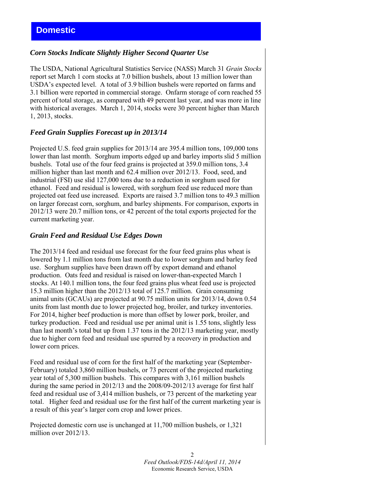# *Corn Stocks Indicate Slightly Higher Second Quarter Use*

The USDA, National Agricultural Statistics Service (NASS) March 31 *Grain Stocks* report set March 1 corn stocks at 7.0 billion bushels, about 13 million lower than USDA's expected level. A total of 3.9 billion bushels were reported on farms and 3.1 billion were reported in commercial storage. Onfarm storage of corn reached 55 percent of total storage, as compared with 49 percent last year, and was more in line with historical averages. March 1, 2014, stocks were 30 percent higher than March 1, 2013, stocks.

# *Feed Grain Supplies Forecast up in 2013/14*

Projected U.S. feed grain supplies for 2013/14 are 395.4 million tons, 109,000 tons lower than last month. Sorghum imports edged up and barley imports slid 5 million bushels. Total use of the four feed grains is projected at 359.0 million tons, 3.4 million higher than last month and 62.4 million over 2012/13. Food, seed, and industrial (FSI) use slid 127,000 tons due to a reduction in sorghum used for ethanol. Feed and residual is lowered, with sorghum feed use reduced more than projected oat feed use increased. Exports are raised 3.7 million tons to 49.3 million on larger forecast corn, sorghum, and barley shipments. For comparison, exports in 2012/13 were 20.7 million tons, or 42 percent of the total exports projected for the current marketing year.

#### *Grain Feed and Residual Use Edges Down*

The 2013/14 feed and residual use forecast for the four feed grains plus wheat is lowered by 1.1 million tons from last month due to lower sorghum and barley feed use. Sorghum supplies have been drawn off by export demand and ethanol production. Oats feed and residual is raised on lower-than-expected March 1 stocks. At 140.1 million tons, the four feed grains plus wheat feed use is projected 15.3 million higher than the 2012/13 total of 125.7 million. Grain consuming animal units (GCAUs) are projected at 90.75 million units for 2013/14, down 0.54 units from last month due to lower projected hog, broiler, and turkey inventories. For 2014, higher beef production is more than offset by lower pork, broiler, and turkey production. Feed and residual use per animal unit is 1.55 tons, slightly less than last month's total but up from 1.37 tons in the 2012/13 marketing year, mostly due to higher corn feed and residual use spurred by a recovery in production and lower corn prices.

Feed and residual use of corn for the first half of the marketing year (September-February) totaled 3,860 million bushels, or 73 percent of the projected marketing year total of 5,300 million bushels. This compares with 3,161 million bushels during the same period in 2012/13 and the 2008/09-2012/13 average for first half feed and residual use of 3,414 million bushels, or 73 percent of the marketing year total. Higher feed and residual use for the first half of the current marketing year is a result of this year's larger corn crop and lower prices.

Projected domestic corn use is unchanged at 11,700 million bushels, or 1,321 million over 2012/13.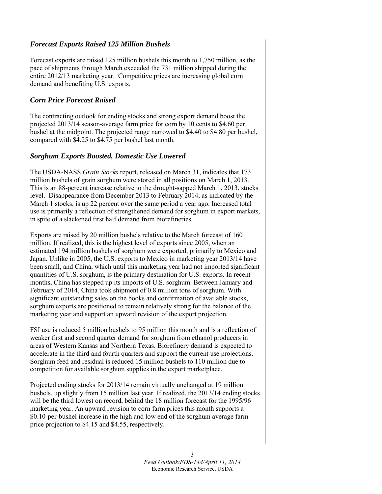# *Forecast Exports Raised 125 Million Bushels*

Forecast exports are raised 125 million bushels this month to 1,750 million, as the pace of shipments through March exceeded the 731 million shipped during the entire 2012/13 marketing year. Competitive prices are increasing global corn demand and benefiting U.S. exports.

# *Corn Price Forecast Raised*

The contracting outlook for ending stocks and strong export demand boost the projected 2013/14 season-average farm price for corn by 10 cents to \$4.60 per bushel at the midpoint. The projected range narrowed to \$4.40 to \$4.80 per bushel, compared with \$4.25 to \$4.75 per bushel last month.

# *Sorghum Exports Boosted, Domestic Use Lowered*

The USDA-NASS *Grain Stocks* report, released on March 31, indicates that 173 million bushels of grain sorghum were stored in all positions on March 1, 2013. This is an 88-percent increase relative to the drought-sapped March 1, 2013, stocks level. Disappearance from December 2013 to February 2014, as indicated by the March 1 stocks, is up 22 percent over the same period a year ago. Increased total use is primarily a reflection of strengthened demand for sorghum in export markets, in spite of a slackened first half demand from biorefineries.

Exports are raised by 20 million bushels relative to the March forecast of 160 million. If realized, this is the highest level of exports since 2005, when an estimated 194 million bushels of sorghum were exported, primarily to Mexico and Japan. Unlike in 2005, the U.S. exports to Mexico in marketing year 2013/14 have been small, and China, which until this marketing year had not imported significant quantities of U.S. sorghum, is the primary destination for U.S. exports. In recent months, China has stepped up its imports of U.S. sorghum. Between January and February of 2014, China took shipment of 0.8 million tons of sorghum. With significant outstanding sales on the books and confirmation of available stocks, sorghum exports are positioned to remain relatively strong for the balance of the marketing year and support an upward revision of the export projection.

FSI use is reduced 5 million bushels to 95 million this month and is a reflection of weaker first and second quarter demand for sorghum from ethanol producers in areas of Western Kansas and Northern Texas. Biorefinery demand is expected to accelerate in the third and fourth quarters and support the current use projections. Sorghum feed and residual is reduced 15 million bushels to 110 million due to competition for available sorghum supplies in the export marketplace.

Projected ending stocks for 2013/14 remain virtually unchanged at 19 million bushels, up slightly from 15 million last year. If realized, the 2013/14 ending stocks will be the third lowest on record, behind the 18 million forecast for the 1995/96 marketing year. An upward revision to corn farm prices this month supports a \$0.10-per-bushel increase in the high and low end of the sorghum average farm price projection to \$4.15 and \$4.55, respectively.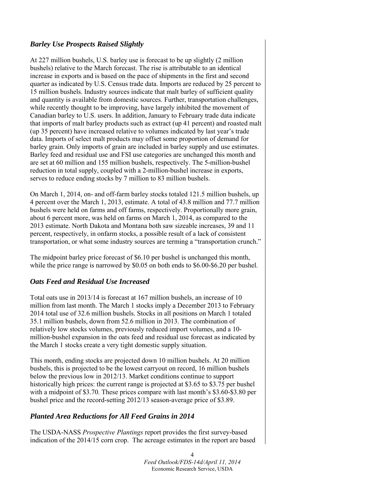# *Barley Use Prospects Raised Slightly*

At 227 million bushels, U.S. barley use is forecast to be up slightly (2 million bushels) relative to the March forecast. The rise is attributable to an identical increase in exports and is based on the pace of shipments in the first and second quarter as indicated by U.S. Census trade data. Imports are reduced by 25 percent to 15 million bushels. Industry sources indicate that malt barley of sufficient quality and quantity is available from domestic sources. Further, transportation challenges, while recently thought to be improving, have largely inhibited the movement of Canadian barley to U.S. users. In addition, January to February trade data indicate that imports of malt barley products such as extract (up 41 percent) and roasted malt (up 35 percent) have increased relative to volumes indicated by last year's trade data. Imports of select malt products may offset some proportion of demand for barley grain. Only imports of grain are included in barley supply and use estimates. Barley feed and residual use and FSI use categories are unchanged this month and are set at 60 million and 155 million bushels, respectively. The 5-million-bushel reduction in total supply, coupled with a 2-million-bushel increase in exports, serves to reduce ending stocks by 7 million to 83 million bushels.

On March 1, 2014, on- and off-farm barley stocks totaled 121.5 million bushels, up 4 percent over the March 1, 2013, estimate. A total of 43.8 million and 77.7 million bushels were held on farms and off farms, respectively. Proportionally more grain, about 6 percent more, was held on farms on March 1, 2014, as compared to the 2013 estimate. North Dakota and Montana both saw sizeable increases, 39 and 11 percent, respectively, in onfarm stocks, a possible result of a lack of consistent transportation, or what some industry sources are terming a "transportation crunch."

The midpoint barley price forecast of \$6.10 per bushel is unchanged this month, while the price range is narrowed by \$0.05 on both ends to \$6.00-\$6.20 per bushel.

# *Oats Feed and Residual Use Increased*

Total oats use in 2013/14 is forecast at 167 million bushels, an increase of 10 million from last month. The March 1 stocks imply a December 2013 to February 2014 total use of 32.6 million bushels. Stocks in all positions on March 1 totaled 35.1 million bushels, down from 52.6 million in 2013. The combination of relatively low stocks volumes, previously reduced import volumes, and a 10 million-bushel expansion in the oats feed and residual use forecast as indicated by the March 1 stocks create a very tight domestic supply situation.

This month, ending stocks are projected down 10 million bushels. At 20 million bushels, this is projected to be the lowest carryout on record, 16 million bushels below the previous low in 2012/13. Market conditions continue to support historically high prices: the current range is projected at \$3.65 to \$3.75 per bushel with a midpoint of \$3.70. These prices compare with last month's \$3.60-\$3.80 per bushel price and the record-setting 2012/13 season-average price of \$3.89.

# *Planted Area Reductions for All Feed Grains in 2014*

The USDA-NASS *Prospective Plantings* report provides the first survey-based indication of the 2014/15 corn crop. The acreage estimates in the report are based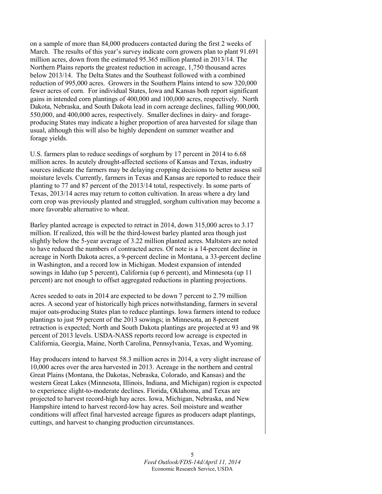on a sample of more than 84,000 producers contacted during the first 2 weeks of March. The results of this year's survey indicate corn growers plan to plant 91.691 million acres, down from the estimated 95.365 million planted in 2013/14. The Northern Plains reports the greatest reduction in acreage, 1,750 thousand acres below 2013/14. The Delta States and the Southeast followed with a combined reduction of 995,000 acres. Growers in the Southern Plains intend to sow 320,000 fewer acres of corn. For individual States, Iowa and Kansas both report significant gains in intended corn plantings of 400,000 and 100,000 acres, respectively. North Dakota, Nebraska, and South Dakota lead in corn acreage declines, falling 900,000, 550,000, and 400,000 acres, respectively. Smaller declines in dairy- and forageproducing States may indicate a higher proportion of area harvested for silage than usual, although this will also be highly dependent on summer weather and forage yields.

U.S. farmers plan to reduce seedings of sorghum by 17 percent in 2014 to 6.68 million acres. In acutely drought-affected sections of Kansas and Texas, industry sources indicate the farmers may be delaying cropping decisions to better assess soil moisture levels. Currently, farmers in Texas and Kansas are reported to reduce their planting to 77 and 87 percent of the 2013/14 total, respectively. In some parts of Texas, 2013/14 acres may return to cotton cultivation. In areas where a dry land corn crop was previously planted and struggled, sorghum cultivation may become a more favorable alternative to wheat.

Barley planted acreage is expected to retract in 2014, down 315,000 acres to 3.17 million. If realized, this will be the third-lowest barley planted area though just slightly below the 5-year average of 3.22 million planted acres. Maltsters are noted to have reduced the numbers of contracted acres. Of note is a 14-percent decline in acreage in North Dakota acres, a 9-percent decline in Montana, a 33-percent decline in Washington, and a record low in Michigan. Modest expansion of intended sowings in Idaho (up 5 percent), California (up 6 percent), and Minnesota (up 11 percent) are not enough to offset aggregated reductions in planting projections.

Acres seeded to oats in 2014 are expected to be down 7 percent to 2.79 million acres. A second year of historically high prices notwithstanding, farmers in several major oats-producing States plan to reduce plantings. Iowa farmers intend to reduce plantings to just 59 percent of the 2013 sowings; in Minnesota, an 8-percent retraction is expected; North and South Dakota plantings are projected at 93 and 98 percent of 2013 levels. USDA-NASS reports record low acreage is expected in California, Georgia, Maine, North Carolina, Pennsylvania, Texas, and Wyoming.

Hay producers intend to harvest 58.3 million acres in 2014, a very slight increase of 10,000 acres over the area harvested in 2013. Acreage in the northern and central Great Plains (Montana, the Dakotas, Nebraska, Colorado, and Kansas) and the western Great Lakes (Minnesota, Illinois, Indiana, and Michigan) region is expected to experience slight-to-moderate declines. Florida, Oklahoma, and Texas are projected to harvest record-high hay acres. Iowa, Michigan, Nebraska, and New Hampshire intend to harvest record-low hay acres. Soil moisture and weather conditions will affect final harvested acreage figures as producers adapt plantings, cuttings, and harvest to changing production circumstances.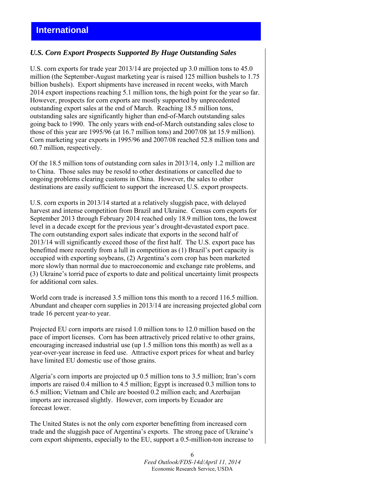#### *U.S. Corn Export Prospects Supported By Huge Outstanding Sales*

U.S. corn exports for trade year 2013/14 are projected up 3.0 million tons to 45.0 million (the September-August marketing year is raised 125 million bushels to 1.75 billion bushels). Export shipments have increased in recent weeks, with March 2014 export inspections reaching 5.1 million tons, the high point for the year so far. However, prospects for corn exports are mostly supported by unprecedented outstanding export sales at the end of March. Reaching 18.5 million tons, outstanding sales are significantly higher than end-of-March outstanding sales going back to 1990. The only years with end-of-March outstanding sales close to those of this year are 1995/96 (at 16.7 million tons) and 2007/08 )at 15.9 million). Corn marketing year exports in 1995/96 and 2007/08 reached 52.8 million tons and 60.7 million, respectively.

Of the 18.5 million tons of outstanding corn sales in 2013/14, only 1.2 million are to China. Those sales may be resold to other destinations or cancelled due to ongoing problems clearing customs in China. However, the sales to other destinations are easily sufficient to support the increased U.S. export prospects.

U.S. corn exports in 2013/14 started at a relatively sluggish pace, with delayed harvest and intense competition from Brazil and Ukraine. Census corn exports for September 2013 through February 2014 reached only 18.9 million tons, the lowest level in a decade except for the previous year's drought-devastated export pace. The corn outstanding export sales indicate that exports in the second half of 2013/14 will significantly exceed those of the first half. The U.S. export pace has benefitted more recently from a lull in competition as (1) Brazil's port capacity is occupied with exporting soybeans, (2) Argentina's corn crop has been marketed more slowly than normal due to macroeconomic and exchange rate problems, and (3) Ukraine's torrid pace of exports to date and political uncertainty limit prospects for additional corn sales.

World corn trade is increased 3.5 million tons this month to a record 116.5 million. Abundant and cheaper corn supplies in 2013/14 are increasing projected global corn trade 16 percent year-to year.

Projected EU corn imports are raised 1.0 million tons to 12.0 million based on the pace of import licenses. Corn has been attractively priced relative to other grains, encouraging increased industrial use (up 1.5 million tons this month) as well as a year-over-year increase in feed use. Attractive export prices for wheat and barley have limited EU domestic use of those grains.

Algeria's corn imports are projected up 0.5 million tons to 3.5 million; Iran's corn imports are raised 0.4 million to 4.5 million; Egypt is increased 0.3 million tons to 6.5 million; Vietnam and Chile are boosted 0.2 million each; and Azerbaijan imports are increased slightly. However, corn imports by Ecuador are forecast lower.

The United States is not the only corn exporter benefitting from increased corn trade and the sluggish pace of Argentina's exports. The strong pace of Ukraine's corn export shipments, especially to the EU, support a 0.5-million-ton increase to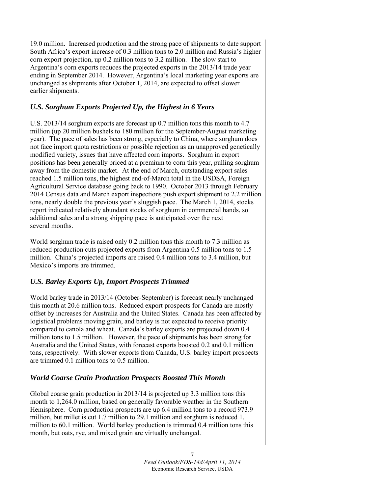19.0 million. Increased production and the strong pace of shipments to date support South Africa's export increase of 0.3 million tons to 2.0 million and Russia's higher corn export projection, up 0.2 million tons to 3.2 million. The slow start to Argentina's corn exports reduces the projected exports in the 2013/14 trade year ending in September 2014. However, Argentina's local marketing year exports are unchanged as shipments after October 1, 2014, are expected to offset slower earlier shipments.

# *U.S. Sorghum Exports Projected Up, the Highest in 6 Years*

U.S. 2013/14 sorghum exports are forecast up 0.7 million tons this month to 4.7 million (up 20 million bushels to 180 million for the September-August marketing year). The pace of sales has been strong, especially to China, where sorghum does not face import quota restrictions or possible rejection as an unapproved genetically modified variety, issues that have affected corn imports. Sorghum in export positions has been generally priced at a premium to corn this year, pulling sorghum away from the domestic market. At the end of March, outstanding export sales reached 1.5 million tons, the highest end-of-March total in the USDSA, Foreign Agricultural Service database going back to 1990. October 2013 through February 2014 Census data and March export inspections push export shipment to 2.2 million tons, nearly double the previous year's sluggish pace. The March 1, 2014, stocks report indicated relatively abundant stocks of sorghum in commercial hands, so additional sales and a strong shipping pace is anticipated over the next several months.

World sorghum trade is raised only 0.2 million tons this month to 7.3 million as reduced production cuts projected exports from Argentina 0.5 million tons to 1.5 million. China's projected imports are raised 0.4 million tons to 3.4 million, but Mexico's imports are trimmed.

# *U.S. Barley Exports Up, Import Prospects Trimmed*

World barley trade in 2013/14 (October-September) is forecast nearly unchanged this month at 20.6 million tons. Reduced export prospects for Canada are mostly offset by increases for Australia and the United States. Canada has been affected by logistical problems moving grain, and barley is not expected to receive priority compared to canola and wheat. Canada's barley exports are projected down 0.4 million tons to 1.5 million. However, the pace of shipments has been strong for Australia and the United States, with forecast exports boosted 0.2 and 0.1 million tons, respectively. With slower exports from Canada, U.S. barley import prospects are trimmed 0.1 million tons to 0.5 million.

# *World Coarse Grain Production Prospects Boosted This Month*

Global coarse grain production in 2013/14 is projected up 3.3 million tons this month to 1,264.0 million, based on generally favorable weather in the Southern Hemisphere. Corn production prospects are up 6.4 million tons to a record 973.9 million, but millet is cut 1.7 million to 29.1 million and sorghum is reduced 1.1 million to 60.1 million. World barley production is trimmed 0.4 million tons this month, but oats, rye, and mixed grain are virtually unchanged.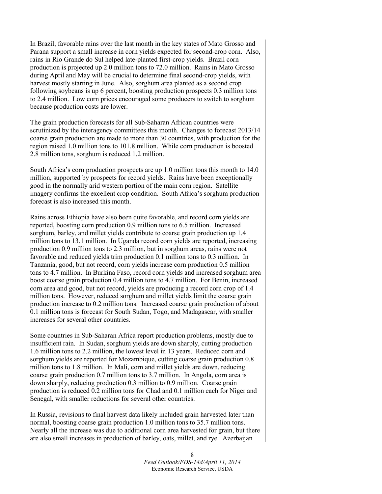In Brazil, favorable rains over the last month in the key states of Mato Grosso and Parana support a small increase in corn yields expected for second-crop corn. Also, rains in Rio Grande do Sul helped late-planted first-crop yields. Brazil corn production is projected up 2.0 million tons to 72.0 million. Rains in Mato Grosso during April and May will be crucial to determine final second-crop yields, with harvest mostly starting in June. Also, sorghum area planted as a second crop following soybeans is up 6 percent, boosting production prospects 0.3 million tons to 2.4 million. Low corn prices encouraged some producers to switch to sorghum because production costs are lower.

The grain production forecasts for all Sub-Saharan African countries were scrutinized by the interagency committees this month. Changes to forecast 2013/14 coarse grain production are made to more than 30 countries, with production for the region raised 1.0 million tons to 101.8 million. While corn production is boosted 2.8 million tons, sorghum is reduced 1.2 million.

South Africa's corn production prospects are up 1.0 million tons this month to 14.0 million, supported by prospects for record yields. Rains have been exceptionally good in the normally arid western portion of the main corn region. Satellite imagery confirms the excellent crop condition. South Africa's sorghum production forecast is also increased this month.

Rains across Ethiopia have also been quite favorable, and record corn yields are reported, boosting corn production 0.9 million tons to 6.5 million. Increased sorghum, barley, and millet yields contribute to coarse grain production up 1.4 million tons to 13.1 million. In Uganda record corn yields are reported, increasing production 0.9 million tons to 2.3 million, but in sorghum areas, rains were not favorable and reduced yields trim production 0.1 million tons to 0.3 million. In Tanzania, good, but not record, corn yields increase corn production 0.5 million tons to 4.7 million. In Burkina Faso, record corn yields and increased sorghum area boost coarse grain production 0.4 million tons to 4.7 million. For Benin, increased corn area and good, but not record, yields are producing a record corn crop of 1.4 million tons. However, reduced sorghum and millet yields limit the coarse grain production increase to 0.2 million tons. Increased coarse grain production of about 0.1 million tons is forecast for South Sudan, Togo, and Madagascar, with smaller increases for several other countries.

Some countries in Sub-Saharan Africa report production problems, mostly due to insufficient rain. In Sudan, sorghum yields are down sharply, cutting production 1.6 million tons to 2.2 million, the lowest level in 13 years. Reduced corn and sorghum yields are reported for Mozambique, cutting coarse grain production 0.8 million tons to 1.8 million. In Mali, corn and millet yields are down, reducing coarse grain production 0.7 million tons to 3.7 million. In Angola, corn area is down sharply, reducing production 0.3 million to 0.9 million. Coarse grain production is reduced 0.2 million tons for Chad and 0.1 million each for Niger and Senegal, with smaller reductions for several other countries.

In Russia, revisions to final harvest data likely included grain harvested later than normal, boosting coarse grain production 1.0 million tons to 35.7 million tons. Nearly all the increase was due to additional corn area harvested for grain, but there are also small increases in production of barley, oats, millet, and rye. Azerbaijan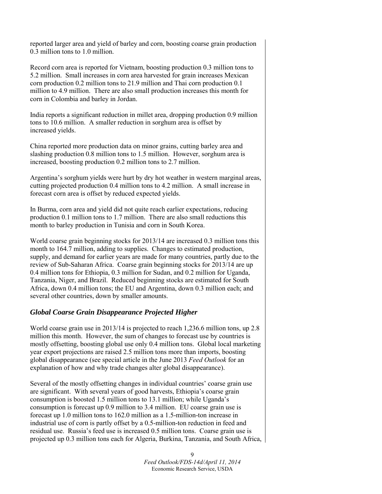reported larger area and yield of barley and corn, boosting coarse grain production 0.3 million tons to 1.0 million.

Record corn area is reported for Vietnam, boosting production 0.3 million tons to 5.2 million. Small increases in corn area harvested for grain increases Mexican corn production 0.2 million tons to 21.9 million and Thai corn production 0.1 million to 4.9 million. There are also small production increases this month for corn in Colombia and barley in Jordan.

India reports a significant reduction in millet area, dropping production 0.9 million tons to 10.6 million. A smaller reduction in sorghum area is offset by increased yields.

China reported more production data on minor grains, cutting barley area and slashing production 0.8 million tons to 1.5 million. However, sorghum area is increased, boosting production 0.2 million tons to 2.7 million.

Argentina's sorghum yields were hurt by dry hot weather in western marginal areas, cutting projected production 0.4 million tons to 4.2 million. A small increase in forecast corn area is offset by reduced expected yields.

In Burma, corn area and yield did not quite reach earlier expectations, reducing production 0.1 million tons to 1.7 million. There are also small reductions this month to barley production in Tunisia and corn in South Korea.

World coarse grain beginning stocks for 2013/14 are increased 0.3 million tons this month to 164.7 million, adding to supplies. Changes to estimated production, supply, and demand for earlier years are made for many countries, partly due to the review of Sub-Saharan Africa. Coarse grain beginning stocks for 2013/14 are up 0.4 million tons for Ethiopia, 0.3 million for Sudan, and 0.2 million for Uganda, Tanzania, Niger, and Brazil. Reduced beginning stocks are estimated for South Africa, down 0.4 million tons; the EU and Argentina, down 0.3 million each; and several other countries, down by smaller amounts.

#### *Global Coarse Grain Disappearance Projected Higher*

World coarse grain use in 2013/14 is projected to reach 1,236.6 million tons, up 2.8 million this month. However, the sum of changes to forecast use by countries is mostly offsetting, boosting global use only 0.4 million tons. Global local marketing year export projections are raised 2.5 million tons more than imports, boosting global disappearance (see special article in the June 2013 *Feed Outlook* for an explanation of how and why trade changes alter global disappearance).

Several of the mostly offsetting changes in individual countries' coarse grain use are significant. With several years of good harvests, Ethiopia's coarse grain consumption is boosted 1.5 million tons to 13.1 million; while Uganda's consumption is forecast up 0.9 million to 3.4 million. EU coarse grain use is forecast up 1.0 million tons to 162.0 million as a 1.5-million-ton increase in industrial use of corn is partly offset by a 0.5-million-ton reduction in feed and residual use. Russia's feed use is increased 0.5 million tons. Coarse grain use is projected up 0.3 million tons each for Algeria, Burkina, Tanzania, and South Africa,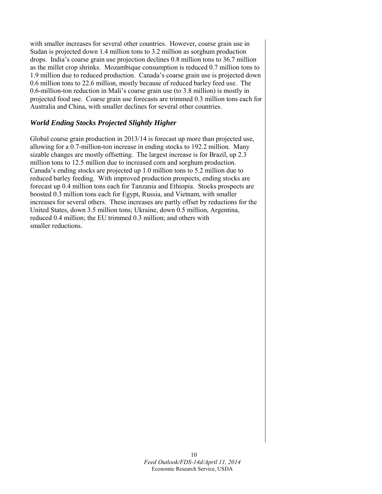with smaller increases for several other countries. However, coarse grain use in Sudan is projected down 1.4 million tons to 3.2 million as sorghum production drops. India's coarse grain use projection declines 0.8 million tons to 36.7 million as the millet crop shrinks. Mozambique consumption is reduced 0.7 million tons to 1.9 million due to reduced production. Canada's coarse grain use is projected down 0.6 million tons to 22.6 million, mostly because of reduced barley feed use. The 0.6-million-ton reduction in Mali's coarse grain use (to 3.8 million) is mostly in projected food use. Coarse grain use forecasts are trimmed 0.3 million tons each for Australia and China, with smaller declines for several other countries.

# *World Ending Stocks Projected Slightly Higher*

Global coarse grain production in 2013/14 is forecast up more than projected use, allowing for a 0.7-million-ton increase in ending stocks to 192.2 million. Many sizable changes are mostly offsetting. The largest increase is for Brazil, up 2.3 million tons to 12.5 million due to increased corn and sorghum production. Canada's ending stocks are projected up 1.0 million tons to 5.2 million due to reduced barley feeding. With improved production prospects, ending stocks are forecast up 0.4 million tons each for Tanzania and Ethiopia. Stocks prospects are boosted 0.3 million tons each for Egypt, Russia, and Vietnam, with smaller increases for several others. These increases are partly offset by reductions for the United States, down 3.5 million tons; Ukraine, down 0.5 million, Argentina, reduced 0.4 million; the EU trimmed 0.3 million; and others with smaller reductions.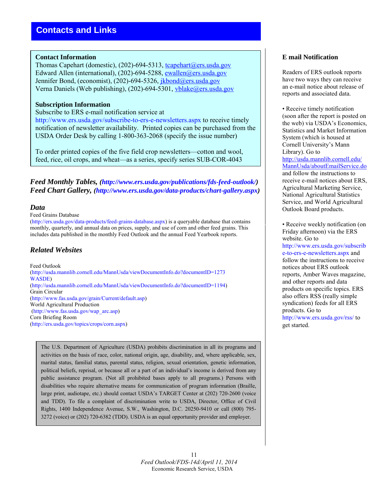#### **Contact Information**

Thomas Capehart (domestic), (202)-694-5313, tcapehart@ers.usda.gov Edward Allen (international), (202)-694-5288, [ewallen@ers.usda.gov](mailto:ewallen@ers.usda.gov) Jennifer Bond, (economist), (202)-694-5326, jkbond@ers.usda.gov Verna Daniels (Web publishing), (202)-694-5301, [vblake@ers.usda.gov](mailto:vblake@ers.usda.gov)

#### **Subscription Information**

#### Subscribe to ERS e-mail notification service at

http://www.ers.usda.gov/subscribe-to-ers-e-newsletters.aspx to receive timely notification of newsletter availability. Printed copies can be purchased from the USDA Order Desk by calling 1-800-363-2068 (specify the issue number)

To order printed copies of the five field crop newsletters—cotton and wool, feed, rice, oil crops, and wheat—as a series, specify series SUB-COR-4043

*Feed Monthly Tables, (http://www.ers.usda.gov/publications/fds-feed-outlook/) Feed Chart Gallery, (http://www.ers.usda.gov/data-products/chart-gallery.aspx)* 

#### *Data*

#### Feed Grains Database

(http://ers.usda.gov/data-products/feed-grains-database.aspx) is a queryable database that contains monthly, quarterly, and annual data on prices, supply, and use of corn and other feed grains. This includes data published in the monthly Feed Outlook and the annual Feed Yearbook reports.

# *Related Websites*

Feed Outlook (http://usda.mannlib.cornell.edu/MannUsda/viewDocumentInfo.do?documentID=1273 WASDE) (http://usda.mannlib.cornell.edu/MannUsda/viewDocumentInfo.do?documentID=1194) Grain Circular (http://www.fas.usda.gov/grain/Current/default.asp) World Agricultural Production (http://www.fas.usda.gov/wap\_arc.asp) Corn Briefing Room (http://ers.usda.gov/topics/crops/corn.aspx)

The U.S. Department of Agriculture (USDA) prohibits discrimination in all its programs and activities on the basis of race, color, national origin, age, disability, and, where applicable, sex, marital status, familial status, parental status, religion, sexual orientation, genetic information, political beliefs, reprisal, or because all or a part of an individual's income is derived from any public assistance program. (Not all prohibited bases apply to all programs.) Persons with disabilities who require alternative means for communication of program information (Braille, large print, audiotape, etc.) should contact USDA's TARGET Center at (202) 720-2600 (voice and TDD). To file a complaint of discrimination write to USDA, Director, Office of Civil Rights, 1400 Independence Avenue, S.W., Washington, D.C. 20250-9410 or call (800) 795- 3272 (voice) or (202) 720-6382 (TDD). USDA is an equal opportunity provider and employer.

# **E mail Notification**

Readers of ERS outlook reports have two ways they can receive an e-mail notice about release of reports and associated data.

• Receive timely notification (soon after the report is posted on the web) via USDA's Economics, Statistics and Market Information System (which is housed at Cornell University's Mann Library). Go to [http://usda.mannlib.cornell.edu/](http://usda.mannlib.cornell.edu/MannUsda/aboutEmailService.do) [MannUsda/aboutEmailService.do](http://usda.mannlib.cornell.edu/MannUsda/aboutEmailService.do) and follow the instructions to receive e-mail notices about ERS, Agricultural Marketing Service, National Agricultural Statistics Service, and World Agricultural Outlook Board products.

• Receive weekly notification (on Friday afternoon) via the ERS website. Go to http://www.ers.usda.gov/subscrib e-to-ers-e-newsletters.aspx and follow the instructions to receive notices about ERS outlook reports, Amber Waves magazine, and other reports and data products on specific topics. ERS also offers RSS (really simple syndication) feeds for all ERS products. Go to http://www.ers.usda.gov/rss/ to get started.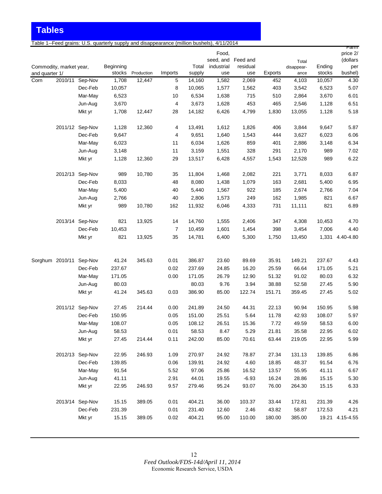**Tables**

Table 1--Feed grains: U.S. quarterly supply and disappearance (million bushels), 4/11/2014

|                |                         |                 |           |            |                |        |                             |          |         |                     |        | <u>ramm</u>          |
|----------------|-------------------------|-----------------|-----------|------------|----------------|--------|-----------------------------|----------|---------|---------------------|--------|----------------------|
|                |                         |                 |           |            |                |        | Food,<br>seed, and Feed and |          |         |                     |        | price 2/<br>(dollars |
|                | Commodity, market year, |                 | Beginning |            |                | Total  | industrial                  | residual |         | Total<br>disappear- | Ending | per                  |
| and quarter 1/ |                         |                 | stocks    | Production | Imports        | supply | use                         | use      | Exports | ance                | stocks | bushel)              |
| Corn           |                         | 2010/11 Sep-Nov | 1,708     | 12,447     | 5              | 14,160 | 1,582                       | 2,069    | 452     | 4,103               | 10,057 | 4.30                 |
|                |                         | Dec-Feb         | 10,057    |            | 8              | 10,065 | 1,577                       | 1,562    | 403     | 3,542               | 6,523  | 5.07                 |
|                |                         | Mar-May         | 6,523     |            | 10             | 6,534  | 1,638                       | 715      | 510     | 2,864               | 3,670  | 6.01                 |
|                |                         | Jun-Aug         | 3,670     |            | 4              | 3,673  | 1,628                       | 453      | 465     | 2,546               | 1,128  | 6.51                 |
|                |                         | Mkt yr          | 1,708     | 12,447     | 28             | 14,182 | 6,426                       | 4,799    | 1,830   | 13,055              | 1,128  | 5.18                 |
|                |                         | 2011/12 Sep-Nov | 1,128     | 12,360     | 4              | 13,491 | 1,612                       | 1,826    | 406     | 3,844               | 9,647  | 5.87                 |
|                |                         | Dec-Feb         | 9,647     |            | 4              | 9,651  | 1,640                       | 1,543    | 444     | 3,627               | 6,023  | 6.06                 |
|                |                         | Mar-May         | 6,023     |            | 11             | 6,034  | 1,626                       | 859      | 401     | 2,886               | 3,148  | 6.34                 |
|                |                         | Jun-Aug         | 3,148     |            | 11             | 3,159  | 1,551                       | 328      | 291     | 2,170               | 989    | 7.02                 |
|                |                         | Mkt yr          | 1,128     | 12,360     | 29             | 13,517 | 6,428                       | 4,557    | 1,543   | 12,528              | 989    | 6.22                 |
|                |                         | 2012/13 Sep-Nov | 989       | 10,780     | 35             | 11,804 | 1,468                       | 2,082    | 221     | 3,771               | 8,033  | 6.87                 |
|                |                         | Dec-Feb         | 8,033     |            | 48             | 8,080  | 1,438                       | 1,079    | 163     | 2,681               | 5,400  | 6.95                 |
|                |                         | Mar-May         | 5,400     |            | 40             | 5,440  | 1,567                       | 922      | 185     | 2,674               | 2,766  | 7.04                 |
|                |                         | Jun-Aug         | 2,766     |            | 40             | 2,806  | 1,573                       | 249      | 162     | 1,985               | 821    | 6.67                 |
|                |                         | Mkt yr          | 989       | 10,780     | 162            | 11,932 | 6,046                       | 4,333    | 731     | 11,111              | 821    | 6.89                 |
|                |                         | 2013/14 Sep-Nov | 821       | 13,925     | 14             | 14,760 | 1,555                       | 2,406    | 347     | 4,308               | 10,453 | 4.70                 |
|                |                         | Dec-Feb         | 10,453    |            | $\overline{7}$ | 10,459 | 1,601                       | 1,454    | 398     | 3,454               | 7,006  | 4.40                 |
|                |                         | Mkt yr          | 821       | 13,925     | 35             | 14,781 | 6,400                       | 5,300    | 1,750   | 13,450              |        | 1,331 4.40-4.80      |
|                |                         |                 |           |            |                |        |                             |          |         |                     |        |                      |
|                | Sorghum 2010/11 Sep-Nov |                 | 41.24     | 345.63     | 0.01           | 386.87 | 23.60                       | 89.69    | 35.91   | 149.21              | 237.67 | 4.43                 |
|                |                         | Dec-Feb         | 237.67    |            | 0.02           | 237.69 | 24.85                       | 16.20    | 25.59   | 66.64               | 171.05 | 5.21                 |
|                |                         | Mar-May         | 171.05    |            | 0.00           | 171.05 | 26.79                       | 12.90    | 51.32   | 91.02               | 80.03  | 6.32                 |
|                |                         | Jun-Aug         | 80.03     |            |                | 80.03  | 9.76                        | 3.94     | 38.88   | 52.58               | 27.45  | 5.90                 |
|                |                         | Mkt yr          | 41.24     | 345.63     | 0.03           | 386.90 | 85.00                       | 122.74   | 151.71  | 359.45              | 27.45  | 5.02                 |
|                |                         | 2011/12 Sep-Nov | 27.45     | 214.44     | 0.00           | 241.89 | 24.50                       | 44.31    | 22.13   | 90.94               | 150.95 | 5.98                 |
|                |                         | Dec-Feb         | 150.95    |            | 0.05           | 151.00 | 25.51                       | 5.64     | 11.78   | 42.93               | 108.07 | 5.97                 |
|                |                         | Mar-May         | 108.07    |            | 0.05           | 108.12 | 26.51                       | 15.36    | 7.72    | 49.59               | 58.53  | 6.00                 |
|                |                         | Jun-Aug         | 58.53     |            | 0.01           | 58.53  | 8.47                        | 5.29     | 21.81   | 35.58               | 22.95  | 6.02                 |
|                |                         | Mkt yr          | 27.45     | 214.44     | 0.11           | 242.00 | 85.00                       | 70.61    | 63.44   | 219.05              | 22.95  | 5.99                 |
|                |                         | 2012/13 Sep-Nov | 22.95     | 246.93     | 1.09           | 270.97 | 24.92                       | 78.87    | 27.34   | 131.13              | 139.85 | 6.86                 |
|                |                         | Dec-Feb         | 139.85    |            | 0.06           | 139.91 | 24.92                       | 4.60     | 18.85   | 48.37               | 91.54  | 6.76                 |
|                |                         | Mar-May         | 91.54     |            | 5.52           | 97.06  | 25.86                       | 16.52    | 13.57   | 55.95               | 41.11  | 6.67                 |
|                |                         | Jun-Aug         | 41.11     |            | 2.91           | 44.01  | 19.55                       | $-6.93$  | 16.24   | 28.86               | 15.15  | 5.30                 |
|                |                         | Mkt yr          | 22.95     | 246.93     | 9.57           | 279.46 | 95.24                       | 93.07    | 76.00   | 264.30              | 15.15  | 6.33                 |
|                |                         | 2013/14 Sep-Nov | 15.15     | 389.05     | 0.01           | 404.21 | 36.00                       | 103.37   | 33.44   | 172.81              | 231.39 | 4.26                 |
|                |                         | Dec-Feb         | 231.39    |            | 0.01           | 231.40 | 12.60                       | 2.46     | 43.82   | 58.87               | 172.53 | 4.21                 |
|                |                         | Mkt yr          | 15.15     | 389.05     | 0.02           | 404.21 | 95.00                       | 110.00   | 180.00  | 385.00              |        | 19.21 4.15-4.55      |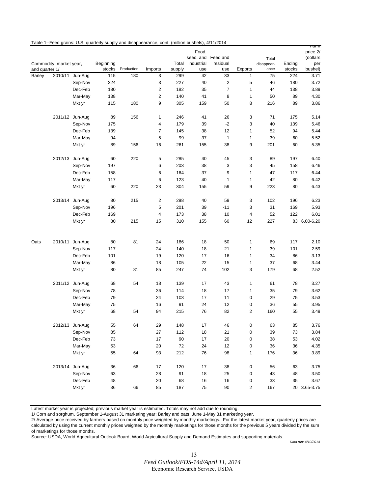|                |                         |                 | Table 1--Feed grains: U.S. quarterly supply and disappearance, cont. (million bushels), 4/11/2014 |            |         |        |                     |                                |                |                     |        |                                     |
|----------------|-------------------------|-----------------|---------------------------------------------------------------------------------------------------|------------|---------|--------|---------------------|--------------------------------|----------------|---------------------|--------|-------------------------------------|
|                | Commodity, market year, |                 | Beginning                                                                                         |            |         | Total  | Food,<br>industrial | seed, and Feed and<br>residual |                | Total<br>disappear- | Ending | ramm<br>price 2/<br>(dollars<br>per |
| and quarter 1/ |                         |                 | stocks                                                                                            | Production | Imports | supply | use                 | use                            | Exports        | ance                | stocks | bushel)                             |
| <b>Barley</b>  |                         | 2010/11 Jun-Aug | 115                                                                                               | 180        | 3       | 299    | 42                  | 33                             | 1              | 75                  | 224    | 3.71                                |
|                |                         | Sep-Nov         | 224                                                                                               |            | 3       | 227    | 40                  | $\overline{\mathbf{c}}$        | 5              | 46                  | 180    | 3.72                                |
|                |                         | Dec-Feb         | 180                                                                                               |            | 2       | 182    | 35                  | $\overline{7}$                 | 1              | 44                  | 138    | 3.89                                |
|                |                         | Mar-May         | 138                                                                                               |            | 2       | 140    | 41                  | 8                              | 1              | 50                  | 89     | 4.30                                |
|                |                         | Mkt yr          | 115                                                                                               | 180        | 9       | 305    | 159                 | 50                             | 8              | 216                 | 89     | 3.86                                |
|                |                         | 2011/12 Jun-Aug | 89                                                                                                | 156        | 1       | 246    | 41                  | 26                             | 3              | 71                  | 175    | 5.14                                |
|                |                         | Sep-Nov         | 175                                                                                               |            | 4       | 179    | 39                  | $-2$                           | 3              | 40                  | 139    | 5.46                                |
|                |                         | Dec-Feb         | 139                                                                                               |            | 7       | 145    | 38                  | 12                             | 1              | 52                  | 94     | 5.44                                |
|                |                         | Mar-May         | 94                                                                                                |            | 5       | 99     | 37                  | $\mathbf{1}$                   | 1              | 39                  | 60     | 5.52                                |
|                |                         | Mkt yr          | 89                                                                                                | 156        | 16      | 261    | 155                 | 38                             | 9              | 201                 | 60     | 5.35                                |
|                |                         | 2012/13 Jun-Aug | 60                                                                                                | 220        | 5       | 285    | 40                  | 45                             | 3              | 89                  | 197    | 6.40                                |
|                |                         | Sep-Nov         | 197                                                                                               |            | 6       | 203    | 38                  | 3                              | 3              | 45                  | 158    | 6.46                                |
|                |                         | Dec-Feb         | 158                                                                                               |            | 6       | 164    | 37                  | 9                              | 1              | 47                  | 117    | 6.44                                |
|                |                         | Mar-May         | 117                                                                                               |            | 6       | 123    | 40                  | $\mathbf{1}$                   | 1              | 42                  | 80     | 6.42                                |
|                |                         | Mkt yr          | 60                                                                                                | 220        | 23      | 304    | 155                 | 59                             | 9              | 223                 | 80     | 6.43                                |
|                |                         | 2013/14 Jun-Aug | 80                                                                                                | 215        | 2       | 298    | 40                  | 59                             | 3              | 102                 | 196    | 6.23                                |
|                |                         | Sep-Nov         | 196                                                                                               |            | 5       | 201    | 39                  | $-11$                          | 3              | 31                  | 169    | 5.93                                |
|                |                         | Dec-Feb         | 169                                                                                               |            | 4       | 173    | 38                  | 10                             | $\overline{4}$ | 52                  | 122    | 6.01                                |
|                |                         | Mkt yr          | 80                                                                                                | 215        | 15      | 310    | 155                 | 60                             | 12             | 227                 |        | 83 6.00-6.20                        |
|                |                         |                 |                                                                                                   |            |         |        |                     |                                |                |                     |        |                                     |
| Oats           |                         | 2010/11 Jun-Aug | 80                                                                                                | 81         | 24      | 186    | 18                  | 50                             | $\mathbf{1}$   | 69                  | 117    | 2.10                                |
|                |                         | Sep-Nov         | 117                                                                                               |            | 24      | 140    | 18                  | 21                             | 1              | 39                  | 101    | 2.59                                |
|                |                         | Dec-Feb         | 101                                                                                               |            | 19      | 120    | 17                  | 16                             | 1              | 34                  | 86     | 3.13                                |
|                |                         | Mar-May         | 86                                                                                                |            | 18      | 105    | 22<br>74            | 15<br>102                      | $\mathbf{1}$   | 37                  | 68     | 3.44<br>2.52                        |
|                |                         | Mkt yr          | 80                                                                                                | 81         | 85      | 247    |                     |                                | 3              | 179                 | 68     |                                     |
|                |                         | 2011/12 Jun-Aug | 68                                                                                                | 54         | 18      | 139    | 17                  | 43                             | $\mathbf{1}$   | 61                  | 78     | 3.27                                |
|                |                         | Sep-Nov         | 78                                                                                                |            | 36      | 114    | 18                  | 17                             | 1              | 35                  | 79     | 3.62                                |
|                |                         | Dec-Feb         | 79                                                                                                |            | 24      | 103    | 17                  | 11                             | $\pmb{0}$      | 29                  | 75     | 3.53                                |
|                |                         | Mar-May         | 75                                                                                                |            | 16      | 91     | 24                  | 12                             | $\pmb{0}$      | 36                  | 55     | 3.95                                |
|                |                         | Mkt yr          | 68                                                                                                | 54         | 94      | 215    | 76                  | 82                             | 2              | 160                 | 55     | 3.49                                |
|                |                         | 2012/13 Jun-Aug | 55                                                                                                | 64         | 29      | 148    | 17                  | 46                             | $\pmb{0}$      | 63                  | 85     | 3.76                                |
|                |                         | Sep-Nov         | 85                                                                                                |            | 27      | 112    | 18                  | 21                             | 0              | 39                  | 73     | 3.84                                |
|                |                         | Dec-Feb         | 73                                                                                                |            | 17      | 90     | 17                  | 20                             | 0              | 38                  | 53     | 4.02                                |
|                |                         | Mar-May         | 53                                                                                                |            | 20      | 72     | 24                  | 12                             | $\pmb{0}$      | 36                  | 36     | 4.35                                |
|                |                         | Mkt yr          | 55                                                                                                | 64         | 93      | 212    | 76                  | 98                             | 1              | 176                 | 36     | 3.89                                |
|                |                         | 2013/14 Jun-Aug | 36                                                                                                | 66         | 17      | 120    | 17                  | 38                             | $\pmb{0}$      | 56                  | 63     | 3.75                                |
|                |                         | Sep-Nov         | 63                                                                                                |            | 28      | 91     | $18\,$              | 25                             | 0              | 43                  | 48     | 3.50                                |
|                |                         | Dec-Feb         | 48                                                                                                |            | 20      | 68     | 16                  | 16                             | 0              | 33                  | 35     | 3.67                                |
|                |                         | Mkt yr          | 36                                                                                                | 66         | 85      | 187    | 75                  | $90\,$                         | $\sqrt{2}$     | 167                 |        | 20 3.65-3.75                        |

Latest market year is projected; previous market year is estimated. Totals may not add due to rounding.

1/ Corn and sorghum, September 1-August 31 marketing year; Barley and oats, June 1-May 31 marketing year.

2/ Average price received by farmers based on monthly price weighted by monthly marketings. For the latest market year, quarterly prices are calculated by using the current monthly prices weighted by the monthly marketings for those months for the previous 5 years divided by the sum of marketings for those months.

Source: USDA, World Agricultural Outlook Board, World Agricultural Supply and Demand Estimates and supporting materials.

*Data run: 4/10/2014*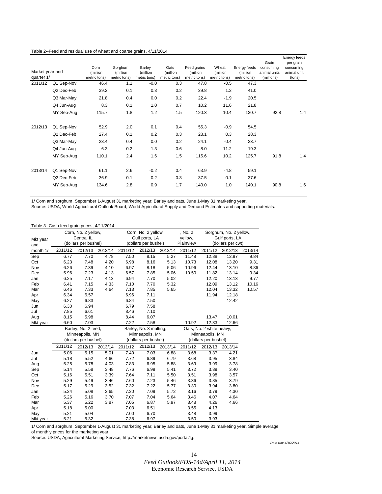| Table 2--Feed and residual use of wheat and coarse grains, 4/11/2014 |  |
|----------------------------------------------------------------------|--|
|----------------------------------------------------------------------|--|

| Market year and<br>quarter 1/ |            | Corn<br>(million<br>metric tons) | Sorghum<br>(million<br>metric tons) | Barley<br>(million<br>metric tons) | Oats<br>(million<br>metric tons) | Feed grains<br>(million<br>metric tons) | Wheat<br>(million<br>metric tons) | Energy feeds<br>(million)<br>metric tons) | Grain<br>consumina<br>animal units<br>(millions) | Energy feeds<br>per grain<br>consuming<br>animal unit<br>(tons) |
|-------------------------------|------------|----------------------------------|-------------------------------------|------------------------------------|----------------------------------|-----------------------------------------|-----------------------------------|-------------------------------------------|--------------------------------------------------|-----------------------------------------------------------------|
| 2011/12                       | Q1 Sep-Nov | 46.4                             | 1.1                                 | $-0.0$                             | 0.3                              | 47.8                                    | $-0.5$                            | 47.3                                      |                                                  |                                                                 |
|                               | Q2 Dec-Feb | 39.2                             | 0.1                                 | 0.3                                | 0.2                              | 39.8                                    | 1.2                               | 41.0                                      |                                                  |                                                                 |
|                               | Q3 Mar-May | 21.8                             | 0.4                                 | 0.0                                | 0.2                              | 22.4                                    | $-1.9$                            | 20.5                                      |                                                  |                                                                 |
|                               | Q4 Jun-Aug | 8.3                              | 0.1                                 | 1.0                                | 0.7                              | 10.2                                    | 11.6                              | 21.8                                      |                                                  |                                                                 |
|                               | MY Sep-Aug | 115.7                            | 1.8                                 | 1.2                                | 1.5                              | 120.3                                   | 10.4                              | 130.7                                     | 92.8                                             | 1.4                                                             |
| 2012/13                       | Q1 Sep-Nov | 52.9                             | 2.0                                 | 0.1                                | 0.4                              | 55.3                                    | $-0.9$                            | 54.5                                      |                                                  |                                                                 |
|                               | Q2 Dec-Feb | 27.4                             | 0.1                                 | 0.2                                | 0.3                              | 28.1                                    | 0.3                               | 28.3                                      |                                                  |                                                                 |
|                               | Q3 Mar-May | 23.4                             | 0.4                                 | 0.0                                | 0.2                              | 24.1                                    | $-0.4$                            | 23.7                                      |                                                  |                                                                 |
|                               | Q4 Jun-Aug | 6.3                              | $-0.2$                              | 1.3                                | 0.6                              | 8.0                                     | 11.2                              | 19.3                                      |                                                  |                                                                 |
|                               | MY Sep-Aug | 110.1                            | 2.4                                 | 1.6                                | 1.5                              | 115.6                                   | 10.2                              | 125.7                                     | 91.8                                             | 1.4                                                             |
| 2013/14                       | Q1 Sep-Nov | 61.1                             | 2.6                                 | $-0.2$                             | 0.4                              | 63.9                                    | $-4.8$                            | 59.1                                      |                                                  |                                                                 |
|                               | Q2 Dec-Feb | 36.9                             | 0.1                                 | 0.2                                | 0.3                              | 37.5                                    | 0.1                               | 37.6                                      |                                                  |                                                                 |
|                               | MY Sep-Aug | 134.6                            | 2.8                                 | 0.9                                | 1.7                              | 140.0                                   | 1.0                               | 140.1                                     | 90.8                                             | 1.6                                                             |

1/ Corn and sorghum, September 1-August 31 marketing year; Barley and oats, June 1-May 31 marketing year.

Source: USDA, World Agricultural Outlook Board, World Agricultural Supply and Demand Estimates and supporting materials.

|          | Table 3--Cash feed grain prices, 4/11/2014 |                      |         |                      |                        |         |                           |                          |                        |         |
|----------|--------------------------------------------|----------------------|---------|----------------------|------------------------|---------|---------------------------|--------------------------|------------------------|---------|
|          |                                            | Corn, No. 2 yellow,  |         |                      | Corn, No. 2 yellow,    |         | , No. 2                   |                          | Sorghum, No. 2 yellow, |         |
| Mkt year |                                            | Central IL           |         |                      | Gulf ports, LA         |         | yellow,<br>Gulf ports, LA |                          |                        |         |
| and      |                                            | (dollars per bushel) |         |                      | (dollars per bushel)   |         | Plainview                 |                          | (dollars per cwt)      |         |
| month 1/ | 2011/12                                    | 2012/13              | 2013/14 | 2011/12              | 2012/13                | 2013/14 | 2011/12                   | 2011/12                  | 2012/13                | 2013/14 |
| Sep      | 6.77                                       | 7.70                 | 4.78    | 7.50                 | 8.15                   | 5.27    | 11.48                     | 12.88                    | 12.97                  | 9.84    |
| Oct      | 6.23                                       | 7.48                 | 4.20    | 6.98                 | 8.16                   | 5.13    | 10.73                     | 12.08                    | 13.20                  | 9.31    |
| Nov      | 6.26                                       | 7.39                 | 4.10    | 6.97                 | 8.18                   | 5.06    | 10.96                     | 12.44                    | 13.10                  | 8.86    |
| Dec      | 5.96                                       | 7.23                 | 4.13    | 6.57                 | 7.85                   | 5.06    | 10.50                     | 11.82                    | 13.14                  | 9.34    |
| Jan      | 6.25                                       | 7.17                 | 4.13    | 6.94                 | 7.70                   | 5.02    |                           | 12.20                    | 13.13                  | 9.77    |
| Feb      | 6.41                                       | 7.15                 | 4.33    | 7.10                 | 7.70                   | 5.32    |                           | 12.09                    | 13.12                  | 10.16   |
| Mar      | 6.46                                       | 7.33                 | 4.64    | 7.13                 | 7.85                   | 5.65    |                           | 12.04                    | 13.32                  | 10.57   |
| Apr      | 6.34                                       | 6.57                 |         | 6.96                 | 7.11                   |         |                           | 11.94                    | 12.18                  |         |
| May      | 6.27                                       | 6.83                 |         | 6.84                 | 7.50                   |         |                           |                          | 12.42                  |         |
| Jun      | 6.30                                       | 6.94                 |         | 6.79                 | 7.58                   |         |                           |                          |                        |         |
| Jul      | 7.85                                       | 6.61                 |         | 8.46                 | 7.10                   |         |                           |                          |                        |         |
| Aug      | 8.15                                       | 5.98                 |         | 8.44                 | 6.07                   |         |                           | 13.47                    | 10.01                  |         |
| Mkt year | 6.60                                       | 7.03                 |         | 7.22                 | 7.58                   |         | 10.92                     | 12.33                    | 12.66                  |         |
|          |                                            | Barley, No. 2 feed,  |         |                      | Barley, No. 3 malting, |         |                           | Oats, No. 2 white heavy, |                        |         |
|          |                                            | Minneapolis, MN      |         |                      | Minneapolis, MN        |         |                           | Minneapolis, MN          |                        |         |
|          |                                            | (dollars per bushel) |         | (dollars per bushel) |                        |         | (dollars per bushel)      |                          |                        |         |
|          | 2011/12                                    | 2012/13              | 2013/14 | 2011/12              | 2012/13                | 2013/14 | 2011/12                   | 2012/13                  | 2013/14                |         |
| Jun      | 5.06                                       | 5.15                 | 5.01    | 7.40                 | 7.03                   | 6.88    | 3.68                      | 3.37                     | 4.21                   |         |
| Jul      | 5.18                                       | 5.52                 | 4.66    | 7.72                 | 6.89                   | 6.79    | 3.68                      | 3.95                     | 3.84                   |         |
| Aug      | 5.25                                       | 5.78                 | 4.03    | 7.83                 | 6.95                   | 5.88    | 3.69                      | 3.99                     | 3.78                   |         |
| Sep      | 5.14                                       | 5.58                 | 3.48    | 7.76                 | 6.99                   | 5.41    | 3.72                      | 3.89                     | 3.40                   |         |
| Oct      | 5.16                                       | 5.51                 | 3.39    | 7.64                 | 7.11                   | 5.50    | 3.51                      | 3.98                     | 3.57                   |         |
| Nov      | 5.29                                       | 5.49                 | 3.46    | 7.60                 | 7.23                   | 5.46    | 3.36                      | 3.85                     | 3.79                   |         |
| Dec      | 5.17                                       | 5.29                 | 3.52    | 7.32                 | 7.22                   | 5.77    | 3.30                      | 3.94                     | 3.80                   |         |
| Jan      | 5.24                                       | 5.08                 | 3.65    | 7.20                 | 7.09                   | 5.72    | 3.16                      | 3.79                     | 4.30                   |         |
| Feb      | 5.26                                       | 5.16                 | 3.70    | 7.07                 | 7.04                   | 5.64    | 3.46                      | 4.07                     | 4.64                   |         |
| Mar      | 5.37                                       | 5.22                 | 3.87    | 7.05                 | 6.87                   | 5.97    | 3.48                      | 4.26                     | 4.66                   |         |
| Apr      | 5.18                                       | 5.00                 |         | 7.03                 | 6.51                   |         | 3.55                      | 4.13                     |                        |         |
| May      | 5.21                                       | 5.04                 |         | 7.00                 | 6.70                   |         | 3.48                      | 3.99                     |                        |         |
| Mkt year | 5.21                                       | 5.32                 |         | 7.38                 | 6.97                   |         | 3.50                      | 3.93                     |                        |         |

1/ Corn and sorghum, September 1-August 31 marketing year; Barley and oats, June 1-May 31 marketing year. Simple average of monthly prices for the marketing year.

Source: USDA, Agricultural Marketing Service, http://marketnews.usda.gov/portal/lg.

*Data run: 4/10/2014*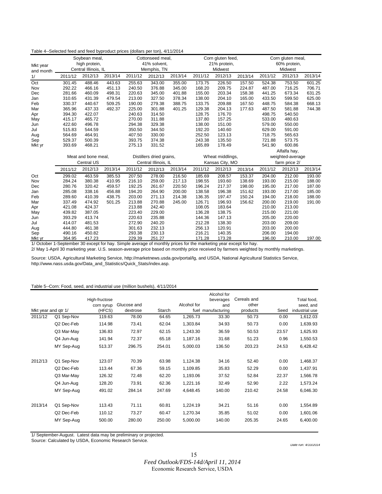| Mkt year        | Soybean meal,<br>high protein,<br>Central Illinois, IL |                   |         | Cottonseed meal,<br>41% solvent.<br>Memphis, TN |                          |         | Corn gluten feed,<br>21% protein,<br>Midwest |                  |         | Corn gluten meal,<br>60% protein,<br>Midwest |                  |         |
|-----------------|--------------------------------------------------------|-------------------|---------|-------------------------------------------------|--------------------------|---------|----------------------------------------------|------------------|---------|----------------------------------------------|------------------|---------|
| and month<br>1/ | 2011/12                                                | 2012/13           | 2013/14 | 2011/12                                         | 2012/13                  | 2013/14 | 2011/12                                      | 2012/13          | 2013/14 | 2011/12                                      | 2012/13          | 2013/14 |
| Oct             | 301.45                                                 | 488.46            | 443.63  | 255.63                                          | 343.00                   | 355.00  | 173.75                                       | 226.50           | 157.50  | 524.38                                       | 753.50           | 601.25  |
| Nov             | 292.22                                                 | 466.16            | 451.13  | 240.50                                          | 376.88                   | 345.00  | 168.20                                       | 209.75           | 224.87  | 487.00                                       | 716.25           | 706.71  |
| Dec             | 281.66                                                 | 460.09            | 498.31  | 220.63                                          | 345.00                   | 401.88  | 155.00                                       | 203.34           | 158.38  | 441.25                                       | 673.34           | 631.25  |
| Jan             | 310.65                                                 | 431.39            | 479.54  | 213.00                                          | 327.50                   | 378.34  | 138.00                                       | 204.10           | 165.00  | 433.50                                       | 599.50           | 625.00  |
| Feb             | 330.37                                                 | 440.67            | 509.25  | 190.00                                          | 279.38                   | 388.75  | 133.75                                       | 209.88           | 167.50  | 448.75                                       | 584.38           | 668.13  |
| Mar             | 365.96                                                 | 437.33            | 492.37  | 225.00                                          | 301.88                   | 401.25  | 129.38                                       | 204.13           | 177.63  | 487.50                                       | 581.88           | 744.38  |
| Apr             | 394.30                                                 | 422.07            |         | 240.63                                          | 314.50                   |         | 128.75                                       | 176.70           |         | 498.75                                       | 540.50           |         |
| May             | 415.17                                                 | 465.72            |         | 270.00                                          | 311.88                   |         | 137.80                                       | 157.25           |         | 533.00                                       | 480.63           |         |
| Jun             | 422.60                                                 | 496.78            |         | 294.38                                          | 329.38                   |         | 138.00                                       | 151.00           |         | 579.00                                       | 550.00           |         |
| Jul             | 515.83                                                 | 544.59            |         | 350.50                                          | 344.50                   |         | 192.20                                       | 140.60           |         | 629.00                                       | 591.00           |         |
| Aug             | 564.69                                                 | 464.91            |         | 407.50                                          | 330.00                   |         | 252.50                                       | 123.13           |         | 718.75                                       | 565.63           |         |
| Sep             | 529.37                                                 | 500.39            |         | 393.75                                          | 374.38                   |         | 243.38                                       | 135.50           |         | 721.88                                       | 573.75           |         |
| Mkt yr          | 393.69                                                 | 468.21            |         | 275.13                                          | 331.52                   |         | 165.89                                       | 178.49           |         | 541.90                                       | 600.86           |         |
|                 |                                                        |                   |         |                                                 |                          |         |                                              |                  |         |                                              | Alfalfa hay,     |         |
|                 | Meat and bone meal,                                    |                   |         |                                                 | Distillers dried grains, |         |                                              | Wheat middlings, |         |                                              | weighted-average |         |
|                 |                                                        | <b>Central US</b> |         | Central Illinois, IL                            |                          |         | Kansas City, MO                              |                  |         |                                              | farm price 2/    |         |
|                 | 2011/12                                                | 2012/13           | 2013/14 | 2011/12                                         | 2012/13                  | 2013/14 | 2011/12                                      | 2012/13          | 2013/14 | 2011/12                                      | 2012/13          | 2013/14 |
| Oct             | 299.02                                                 | 463.59            | 385.53  | 207.50                                          | 278.00                   | 216.50  | 185.69                                       | 208.57           | 153.37  | 204.00                                       | 212.00           | 193.00  |
| Nov             | 284.24                                                 | 380.38            | 410.95  | 216.10                                          | 259.00                   | 217.13  | 198.55                                       | 193.60           | 138.69  | 193.00                                       | 215.00           | 188.00  |
| Dec             | 280.76                                                 | 320.42            | 459.57  | 192.25                                          | 261.67                   | 220.50  | 196.24                                       | 217.37           | 198.00  | 195.00                                       | 217.00           | 187.00  |
| Jan             | 285.08                                                 | 338.16            | 456.88  | 194.20                                          | 264.90                   | 200.00  | 138.58                                       | 196.38           | 151.62  | 193.00                                       | 217.00           | 185.00  |
| Feb             | 289.60                                                 | 410.39            | 438.75  | 203.00                                          | 271.13                   | 214.38  | 136.35                                       | 197.47           | 150.24  | 194.00                                       | 218.00           | 188.00  |
| Mar             | 337.49                                                 | 474.92            | 501.25  | 213.88                                          | 270.88                   | 245.00  | 126.71                                       | 196.93           | 156.62  | 200.00                                       | 219.00           | 191.00  |
| Apr             | 421.08                                                 | 424.37            |         | 213.88                                          | 242.40                   |         | 108.05                                       | 183.64           |         | 210.00                                       | 213.00           |         |
| May             | 439.82                                                 | 387.05            |         | 223.40                                          | 229.00                   |         | 136.28                                       | 138.75           |         | 215.00                                       | 221.00           |         |
| Jun             | 393.29                                                 | 413.74            |         | 220.63                                          | 235.88                   |         | 144.36                                       | 147.13           |         | 205.00                                       | 220.00           |         |
| Jul             | 414.07                                                 | 481.53            |         | 272.90                                          | 240.20                   |         | 212.28                                       | 138.30           |         | 203.00                                       | 209.00           |         |
| Aug             | 444.80                                                 | 461.38            |         | 301.63                                          | 232.13                   |         | 256.13                                       | 120.91           |         | 203.00                                       | 200.00           |         |
| Sep             | 490.16                                                 | 450.82            |         | 293.38                                          | 230.13                   |         | 216.21                                       | 140.35           |         | 206.00                                       | 194.00           |         |
| Mkt yr          | 364.95                                                 | 417.23            |         | 229.39                                          | 251.27                   |         | 171.28                                       | 173.28           |         | 196.00                                       | 210.00           | 197.00  |

#### Table 4--Selected feed and feed byproduct prices (dollars per ton), 4/11/2014

1/ October 1-September 30 except for hay. Simple average of monthly prices for the marketing year except for hay. 2/ May 1-April 30 marketing year. U.S. season-average price based on monthly price received by farmers weighted by monthly marketings.

Source: USDA, Agricultural Marketing Service, http://marketnews.usda.gov/portal/lg, and USDA, National Agricultural Statistics Service, http://www.nass.usda.gov/Data\_and\_Statistics/Quick\_Stats/index.asp.

#### Table 5--Corn: Food, seed, and industrial use (million bushels), 4/11/2014

|                     |            |               |             |        |             | Alcohol for        |             |       |                |
|---------------------|------------|---------------|-------------|--------|-------------|--------------------|-------------|-------|----------------|
|                     |            | High-fructose |             |        |             | beverages          | Cereals and |       | Total food,    |
|                     |            | corn syrup    | Glucose and |        | Alcohol for | and                | other       |       | seed, and      |
| Mkt year and gtr 1/ |            | (HFCS)        | dextrose    | Starch |             | fuel manufacturing | products    | Seed  | industrial use |
| 2011/12             | Q1 Sep-Nov | 119.63        | 78.00       | 64.65  | 1,265.73    | 33.30              | 50.73       | 0.00  | 1,612.03       |
|                     | Q2 Dec-Feb | 114.98        | 73.41       | 62.04  | 1,303.84    | 34.93              | 50.73       | 0.00  | 1,639.93       |
|                     | Q3 Mar-May | 136.83        | 72.97       | 62.15  | 1,243.30    | 36.59              | 50.53       | 23.57 | 1,625.93       |
|                     | Q4 Jun-Aug | 141.94        | 72.37       | 65.18  | 1,187.16    | 31.68              | 51.23       | 0.96  | 1,550.53       |
|                     | MY Sep-Aug | 513.37        | 296.75      | 254.01 | 5,000.03    | 136.50             | 203.23      | 24.53 | 6,428.42       |
| 2012/13             | Q1 Sep-Nov | 123.07        | 70.39       | 63.98  | 1,124.38    | 34.16              | 52.40       | 0.00  | 1,468.37       |
|                     | Q2 Dec-Feb | 113.44        | 67.36       | 59.15  | 1,109.85    | 35.83              | 52.29       | 0.00  | 1,437.91       |
|                     | Q3 Mar-May | 126.32        | 72.48       | 62.20  | 1,193.06    | 37.52              | 52.84       | 22.37 | 1,566.78       |
|                     | Q4 Jun-Aug | 128.20        | 73.91       | 62.36  | 1,221.16    | 32.49              | 52.90       | 2.22  | 1,573.24       |
|                     | MY Sep-Aug | 491.02        | 284.14      | 247.69 | 4,648.45    | 140.00             | 210.42      | 24.58 | 6,046.30       |
| 2013/14             | Q1 Sep-Nov | 113.43        | 71.11       | 60.81  | 1,224.19    | 34.21              | 51.16       | 0.00  | 1,554.89       |
|                     | Q2 Dec-Feb | 110.12        | 73.27       | 60.47  | 1,270.34    | 35.85              | 51.02       | 0.00  | 1,601.06       |
|                     | MY Sep-Aug | 500.00        | 280.00      | 250.00 | 5,000.00    | 140.00             | 205.35      | 24.65 | 6,400.00       |

1/ September-August. Latest data may be preliminary or projected.

Source: Calculated by USDA, Economic Research Service.

*Date run: 4/10/2014*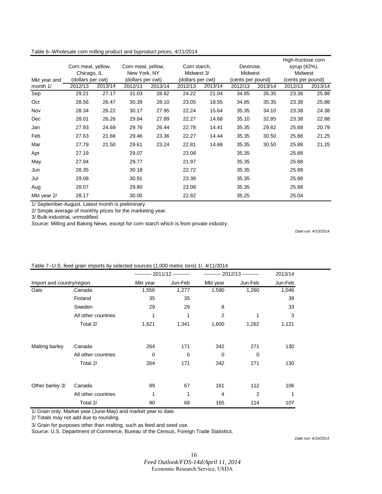|              |                    |         |                    |         |                   |         |                   |         | High-fructose corn |         |
|--------------|--------------------|---------|--------------------|---------|-------------------|---------|-------------------|---------|--------------------|---------|
|              | Corn meal, yellow, |         | Corn meal, yellow, |         | Corn starch,      |         | Dextrose,         |         | syrup (42%),       |         |
|              | Chicago, IL        |         | New York, NY       |         | Midwest 3/        |         | <b>Midwest</b>    |         | Midwest            |         |
| Mkt year and | (dollars per cwt)  |         | (dollars per cwt)  |         | (dollars per cwt) |         | (cents per pound) |         | (cents per pound)  |         |
| month 1/     | 2012/13            | 2013/14 | 2012/13            | 2013/14 | 2012/13           | 2013/14 | 2012/13           | 2013/14 | 2012/13            | 2013/14 |
| Sep          | 29.21              | 27.17   | 31.03              | 28.82   | 24.22             | 21.04   | 34.85             | 35.35   | 23.38              | 25.88   |
| Oct          | 28.56              | 26.47   | 30.39              | 28.10   | 23.05             | 18.55   | 34.85             | 35.35   | 23.38              | 25.88   |
| Nov          | 28.34              | 26.22   | 30.17              | 27.95   | 22.24             | 15.64   | 35.35             | 34.10   | 23.38              | 24.38   |
| Dec          | 28.01              | 26.26   | 29.84              | 27.89   | 22.27             | 14.68   | 35.10             | 32.85   | 23.38              | 22.88   |
| Jan          | 27.93              | 24.69   | 29.76              | 26.44   | 22.78             | 14.41   | 35.35             | 29.62   | 25.88              | 20.79   |
| Feb          | 27.63              | 21.66   | 29.46              | 23.36   | 22.27             | 14.44   | 35.35             | 30.50   | 25.88              | 21.25   |
| Mar          | 27.79              | 21.50   | 29.61              | 23.24   | 22.81             | 14.68   | 35.35             | 30.50   | 25.88              | 21.25   |
| Apr          | 27.19              |         | 29.07              |         | 23.08             |         | 35.35             |         | 25.88              |         |
| May          | 27.94              |         | 29.77              |         | 21.97             |         | 35.35             |         | 25.88              |         |
| Jun          | 28.35              |         | 30.18              |         | 22.72             |         | 35.35             |         | 25.88              |         |
| Jul          | 29.08              |         | 30.91              |         | 23.38             |         | 35.35             |         | 25.88              |         |
| Aug          | 28.07              |         | 29.80              |         | 23.08             |         | 35.35             |         | 25.88              |         |
| Mkt year 2/  | 28.17              |         | 30.00              |         | 22.82             |         | 35.25             |         | 25.04              |         |

Table 6--Wholesale corn milling product and byproduct prices, 4/11/2014

1/ September-August. Latest month is preliminary.

2/ Simple average of monthly prices for the marketing year.

3/ Bulk-industrial, unmodified.

Source: Milling and Baking News, except for corn starch which is from private industry.

*Date run: 4/10/2014*

|                           |                     |             |             |                |                | 2013/14 |
|---------------------------|---------------------|-------------|-------------|----------------|----------------|---------|
| Import and country/region |                     | Mkt year    | Jun-Feb     | Mkt year       | Jun-Feb        | Jun-Feb |
| Oats                      | Canada              | 1,556       | 1,277       | 1,590          | 1,260          | 1,046   |
|                           | Finland             | 35          | 35          |                |                | 39      |
|                           | Sweden              | 29          | 29          | 8              |                | 33      |
|                           | All other countries | 1           | 1           | $\overline{2}$ | 1              | 3       |
|                           | Total 2/            | 1,621       | 1,341       | 1,600          | 1,262          | 1,121   |
|                           |                     |             |             |                |                |         |
| Malting barley            | Canada              | 264         | 171         | 342            | 271            | 130     |
|                           | All other countries | $\mathbf 0$ | $\mathbf 0$ | $\mathbf 0$    | $\mathbf 0$    |         |
|                           | Total 2/            | 264         | 171         | 342            | 271            | 130     |
|                           |                     |             |             |                |                |         |
| Other barley 3/           | Canada              | 89          | 67          | 161            | 112            | 106     |
|                           | All other countries | 1           | 1           | 4              | $\overline{2}$ | 1       |
|                           | Total 2/            | 90          | 68          | 165            | 114            | 107     |

#### Table 7--U.S. feed grain imports by selected sources (1,000 metric tons) 1/, 4/11/2014

1/ Grain only. Market year (June-May) and market year to date.

2/ Totals may not add due to rounding.

3/ Grain for purposes other than malting, such as feed and seed use.

Source: U.S. Department of Commerce, Bureau of the Census, Foreign Trade Statistics.